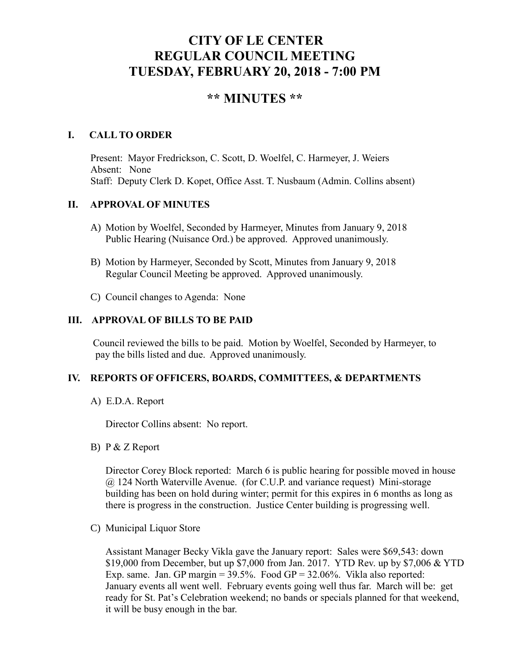# **CITY OF LE CENTER REGULAR COUNCIL MEETING TUESDAY, FEBRUARY 20, 2018 - 7:00 PM**

## **\*\* MINUTES \*\***

#### **I. CALL TO ORDER**

Present: Mayor Fredrickson, C. Scott, D. Woelfel, C. Harmeyer, J. Weiers Absent: None Staff: Deputy Clerk D. Kopet, Office Asst. T. Nusbaum (Admin. Collins absent)

#### **II. APPROVAL OF MINUTES**

- A) Motion by Woelfel, Seconded by Harmeyer, Minutes from January 9, 2018 Public Hearing (Nuisance Ord.) be approved. Approved unanimously.
- B) Motion by Harmeyer, Seconded by Scott, Minutes from January 9, 2018 Regular Council Meeting be approved. Approved unanimously.
- C) Council changes to Agenda: None

### **III. APPROVAL OF BILLS TO BE PAID**

Council reviewed the bills to be paid. Motion by Woelfel, Seconded by Harmeyer, to pay the bills listed and due. Approved unanimously.

#### **IV. REPORTS OF OFFICERS, BOARDS, COMMITTEES, & DEPARTMENTS**

A) E.D.A. Report

Director Collins absent: No report.

B) P & Z Report

Director Corey Block reported: March 6 is public hearing for possible moved in house @ 124 North Waterville Avenue. (for C.U.P. and variance request) Mini-storage building has been on hold during winter; permit for this expires in 6 months as long as there is progress in the construction. Justice Center building is progressing well.

C) Municipal Liquor Store

Assistant Manager Becky Vikla gave the January report: Sales were \$69,543: down \$19,000 from December, but up \$7,000 from Jan. 2017. YTD Rev. up by \$7,006 & YTD Exp. same. Jan. GP margin  $= 39.5\%$ . Food GP  $= 32.06\%$ . Vikla also reported: January events all went well. February events going well thus far. March will be: get ready for St. Pat's Celebration weekend; no bands or specials planned for that weekend, it will be busy enough in the bar.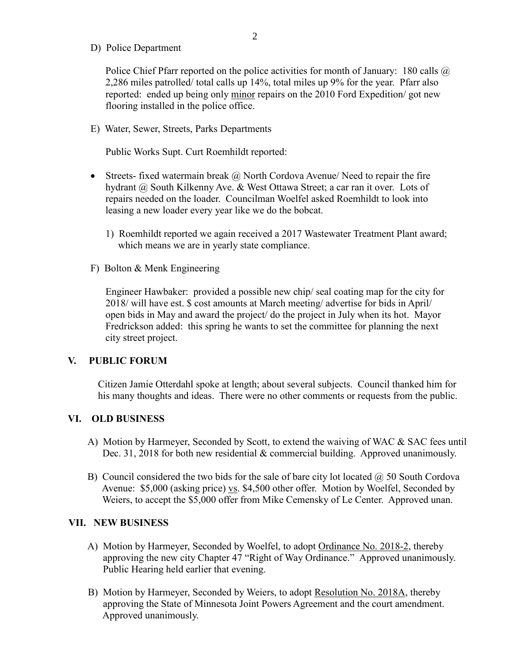D) Police Department

Police Chief Pfarr reported on the police activities for month of January: 180 calls  $\omega$ 2,286 miles patrolled/ total calls up 14%, total miles up 9% for the year. Pfarr also reported: ended up being only minor repairs on the 2010 Ford Expedition/ got new flooring installed in the police office.

E) Water, Sewer, Streets, Parks Departments

Public Works Supt. Curt Roemhildt reported:

- Streets- fixed watermain break  $\omega$  North Cordova Avenue/ Need to repair the fire hydrant @ South Kilkenny Ave. & West Ottawa Street; a car ran it over. Lots of repairs needed on the loader. Councilman Woelfel asked Roemhildt to look into leasing a new loader every year like we do the bobcat.
	- 1) Roemhildt reported we again received a 2017 Wastewater Treatment Plant award; which means we are in yearly state compliance.
- F) Bolton & Menk Engineering

 Engineer Hawbaker: provided a possible new chip/ seal coating map for the city for 2018/ will have est. \$ cost amounts at March meeting/ advertise for bids in April/ open bids in May and award the project/ do the project in July when its hot. Mayor Fredrickson added: this spring he wants to set the committee for planning the next city street project.

#### **V. PUBLIC FORUM**

Citizen Jamie Otterdahl spoke at length; about several subjects. Council thanked him for his many thoughts and ideas. There were no other comments or requests from the public.

#### **VI. OLD BUSINESS**

- A) Motion by Harmeyer, Seconded by Scott, to extend the waiving of WAC & SAC fees until Dec. 31, 2018 for both new residential & commercial building. Approved unanimously.
- B) Council considered the two bids for the sale of bare city lot located  $\omega$  50 South Cordova Avenue: \$5,000 (asking price) vs. \$4,500 other offer. Motion by Woelfel, Seconded by Weiers, to accept the \$5,000 offer from Mike Cemensky of Le Center. Approved unan.

#### **VII. NEW BUSINESS**

- A) Motion by Harmeyer, Seconded by Woelfel, to adopt Ordinance No. 2018-2, thereby approving the new city Chapter 47 "Right of Way Ordinance." Approved unanimously. Public Hearing held earlier that evening.
- B) Motion by Harmeyer, Seconded by Weiers, to adopt Resolution No. 2018A, thereby approving the State of Minnesota Joint Powers Agreement and the court amendment. Approved unanimously.